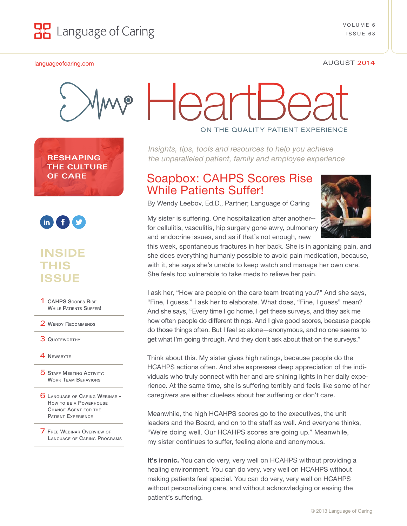

#### [languageofcaring.com](http://www.languageofcaring.com/) AUGUST 2014



**RESHAPING THE CULTURE OF CARE**



## **INSIDE THIS ISSUE**

1 CAHPS Scores Rise WHILE PATIENTS SUFFER!

2 WENDY RECOMMENDS

**3 QUOTEWORTHY** 

**4 NEWSBYTE** 

**5 STAFF MEETING ACTIVITY:** Work Team Behaviors

6 Language [of Caring Webinar -](#page-4-0) How to be a Powerhouse Change Agent for the Patient Experience

7 Free Webinar Overview of Language [of Caring Programs](#page-5-0) ON THE QUALITY PATIENT EXPERIENCE

*Insights, tips, tools and resources to help you achieve the unparalleled patient, family and employee experience*

## Soapbox: CAHPS Scores Rise While Patients Suffer!

By Wendy Leebov, Ed.D., Partner; Language of Caring

My sister is suffering. One hospitalization after another- for cellulitis, vasculitis, hip surgery gone awry, pulmonary and endocrine issues, and as if that's not enough, new



this week, spontaneous fractures in her back. She is in agonizing pain, and she does everything humanly possible to avoid pain medication, because, with it, she says she's unable to keep watch and manage her own care. She feels too vulnerable to take meds to relieve her pain.

I ask her, "How are people on the care team treating you?" And she says, "Fine, I guess." I ask her to elaborate. What does, "Fine, I guess" mean? And she says, "Every time I go home, I get these surveys, and they ask me how often people do different things. And I give good scores, because people do those things often. But I feel so alone—anonymous, and no one seems to get what I'm going through. And they don't ask about that on the surveys."

Think about this. My sister gives high ratings, because people do the HCAHPS actions often. And she expresses deep appreciation of the individuals who truly connect with her and are shining lights in her daily experience. At the same time, she is suffering terribly and feels like some of her caregivers are either clueless about her suffering or don't care.

Meanwhile, the high HCAHPS scores go to the executives, the unit leaders and the Board, and on to the staff as well. And everyone thinks, "We're doing well. Our HCAHPS scores are going up." Meanwhile, my sister continues to suffer, feeling alone and anonymous.

**It's ironic.** You can do very, very well on HCAHPS without providing a healing environment. You can do very, very well on HCAHPS without making patients feel special. You can do very, very well on HCAHPS without personalizing care, and without acknowledging or easing the patient's suffering.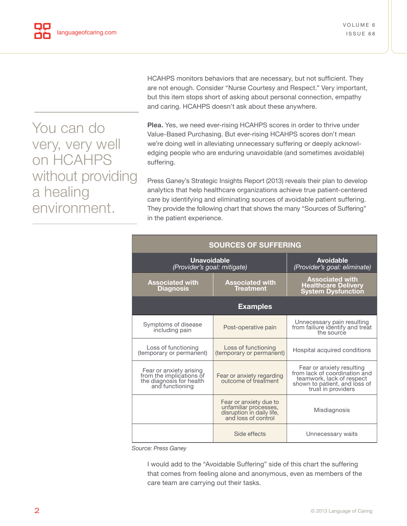You can do very, very well on HCAHPS without providing a healing environment.

HCAHPS monitors behaviors that are necessary, but not sufficient. They are not enough. Consider "Nurse Courtesy and Respect." Very important, but this item stops short of asking about personal connection, empathy and caring. HCAHPS doesn't ask about these anywhere.

**Plea.** Yes, we need ever-rising HCAHPS scores in order to thrive under Value-Based Purchasing. But ever-rising HCAHPS scores don't mean we're doing well in alleviating unnecessary suffering or deeply acknowledging people who are enduring unavoidable (and sometimes avoidable) suffering.

Press Ganey's Strategic Insights Report (2013) reveals their plan to develop analytics that help healthcare organizations achieve true patient-centered care by identifying and eliminating sources of avoidable patient suffering. They provide the following chart that shows the many "Sources of Suffering" in the patient experience.

| <b>SOURCES OF SUFFERING</b>                                                                        |                                                                                                     |                                                                                                                                                |  |  |
|----------------------------------------------------------------------------------------------------|-----------------------------------------------------------------------------------------------------|------------------------------------------------------------------------------------------------------------------------------------------------|--|--|
| <b>Unavoidable</b><br>(Provider's goal: mitigate)                                                  |                                                                                                     | <b>Avoidable</b><br>(Provider's goal: eliminate)                                                                                               |  |  |
| <b>Associated with</b><br>Diagnosis                                                                | <b>Associated with</b><br><b>Treatment</b>                                                          | <b>Associated with</b><br><b>Healthcare Delivery</b><br><b>System Dysfunction</b>                                                              |  |  |
| <b>Examples</b>                                                                                    |                                                                                                     |                                                                                                                                                |  |  |
| Symptoms of disease<br>including pain                                                              | Post-operative pain                                                                                 | Unnecessary pain resulting<br>from failiure identify and treat<br>the source                                                                   |  |  |
| Loss of functioning<br>(temporary or permanent)                                                    | Loss of functioning<br>(temporary or permanent)                                                     | Hospital acquired conditions                                                                                                                   |  |  |
| Fear or anxiety arising<br>from the implications of<br>the diagnosis for health<br>and functioning | Fear or anxiety regarding<br>outcome of freatment                                                   | Fear or anxiety resulting<br>from lack of coordination and<br>teamwork, lack of respect<br>shown to patient, and loss of<br>trust in providers |  |  |
|                                                                                                    | Fear or anxiety due to<br>unfamiliar processes,<br>disruption in daily life,<br>and loss of control | Misdiagnosis                                                                                                                                   |  |  |
|                                                                                                    | Side effects                                                                                        | Unnecessary waits                                                                                                                              |  |  |

*Source: Press Ganey*

I would add to the "Avoidable Suffering" side of this chart the suffering that comes from feeling alone and anonymous, even as members of the care team are carrying out their tasks.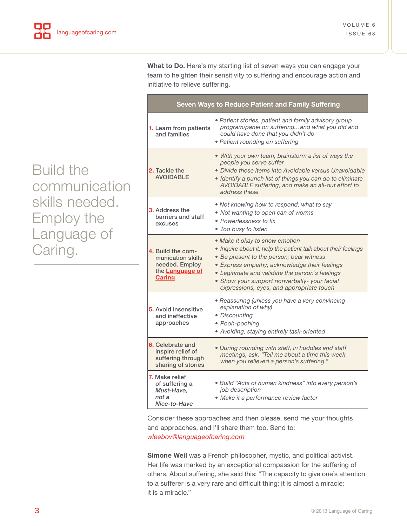**What to Do.** Here's my starting list of seven ways you can engage your team to heighten their sensitivity to suffering and encourage action and initiative to relieve suffering.

| Seven Ways to Reduce Patient and Family Suffering                                            |                                                                                                                                                                                                                                                                                                                                              |  |  |
|----------------------------------------------------------------------------------------------|----------------------------------------------------------------------------------------------------------------------------------------------------------------------------------------------------------------------------------------------------------------------------------------------------------------------------------------------|--|--|
| <b>1.</b> Learn from patients<br>and families                                                | · Patient stories, patient and family advisory group<br>program/panel on sufferingand what you did and<br>could have done that you didn't do<br>· Patient rounding on suffering                                                                                                                                                              |  |  |
| 2. Tackle the<br><b>AVOIDABLE</b>                                                            | • With your own team, brainstorm a list of ways the<br>people you serve suffer<br>• Divide these items into Avoidable versus Unavoidable<br>• Identify a punch list of things you can do to eliminate<br>AVOIDABLE suffering, and make an all-out effort to<br>address these                                                                 |  |  |
| <b>3.</b> Address the<br>barriers and staff<br>excuses                                       | . Not knowing how to respond, what to say<br>• Not wanting to open can of worms<br>• Powerlessness to fix<br>• Too busy to listen                                                                                                                                                                                                            |  |  |
| 4. Build the com-<br>munication skills<br>needed. Employ<br>the Language of<br><b>Caring</b> | • Make it okay to show emotion<br>• Inquire about it; help the patient talk about their feelings<br>• Be present to the person; bear witness<br>• Express empathy; acknowledge their feelings<br>• Legitimate and validate the person's feelings<br>• Show your support nonverbally- your facial<br>expressions, eyes, and appropriate touch |  |  |
| 5. Avoid insensitive<br>and ineffective<br>approaches                                        | · Reassuring (unless you have a very convincing<br>explanation of why)<br>• Discounting<br>· Pooh-poohing<br>• Avoiding, staying entirely task-oriented                                                                                                                                                                                      |  |  |
| 6. Celebrate and<br>inspire relief of<br>suffering through<br>sharing of stories             | · During rounding with staff, in huddles and staff<br>meetings, ask, "Tell me about a time this week<br>when you relieved a person's suffering."                                                                                                                                                                                             |  |  |
| 7. Make relief<br>of suffering a<br>Must-Have,<br>not a<br>Nice-to-Have                      | · Build "Acts of human kindness" into every person's<br>job description<br>• Make it a performance review factor                                                                                                                                                                                                                             |  |  |

Consider these approaches and then please, send me your thoughts and approaches, and I'll share them too. Send to: *wleebov@languageofcaring.com*

**Simone Weil** was a French philosopher, mystic, and political activist. Her life was marked by an exceptional compassion for the suffering of others. About suffering, she said this: "The capacity to give one's attention to a sufferer is a very rare and difficult thing; it is almost a miracle; it is a miracle."

Build the communication skills needed. Employ the Language of Caring.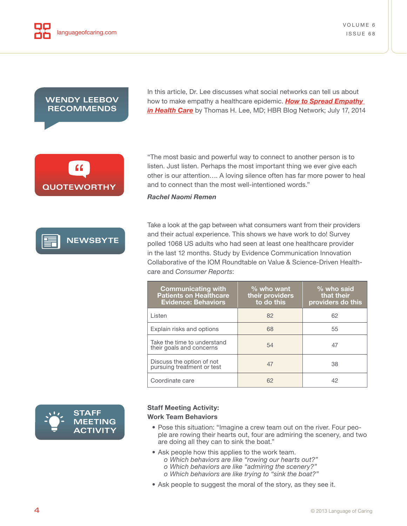#### <span id="page-3-0"></span>**WENDY LEEBOV RECOMMENDS**

In this article, Dr. Lee discusses what social networks can tell us about how to make empathy a healthcare epidemic. *How to Spread Empathy in Health Care* [by Thomas H. Lee, MD; HBR Blog Network; July 17, 2014](http://blogs.hbr.org/2014/07/how-to-spread-empathy-in-health-care/)

**QUOTEWORTHY**



"The most basic and powerful way to connect to another person is to listen. Just listen. Perhaps the most important thing we ever give each other is our attention…. A loving silence often has far more power to heal and to connect than the most well-intentioned words."

*Rachel Naomi Remen*

Take a look at the gap between what consumers want from their providers and their actual experience. This shows we have work to do! Survey polled 1068 US adults who had seen at least one healthcare provider in the last 12 months. Study by Evidence Communication Innovation Collaborative of the IOM Roundtable on Value & Science-Driven Healthcare and *Consumer Reports*:

| <b>Communicating with</b><br><b>Patients on Healthcare</b><br><b>Evidence: Behaviors</b> | $%$ who want<br>their providers<br>to do this | $%$ who said<br>that their<br>providers do this |
|------------------------------------------------------------------------------------------|-----------------------------------------------|-------------------------------------------------|
| I isten                                                                                  | 82                                            | 62                                              |
| Explain risks and options                                                                | 68                                            | 55                                              |
| Take the time to understand<br>their goals and concerns                                  | 54                                            | 47                                              |
| Discuss the option of not<br>pursuing treatment or test                                  | 47                                            | 38                                              |
| Coordinate care                                                                          | 62                                            | 42                                              |



#### **Staff Meeting Activity:**

#### **Work Team Behaviors**

- *•* Pose this situation: "Imagine a crew team out on the river. Four people are rowing their hearts out, four are admiring the scenery, and two are doing all they can to sink the boat."
- *•* Ask people how this applies to the work team.
	- *o Which behaviors are like "rowing our hearts out?"*
	- *o Which behaviors are like "admiring the scenery?"*
	- *o Which behaviors are like trying to "sink the boat?"*
- *•* Ask people to suggest the moral of the story, as they see it.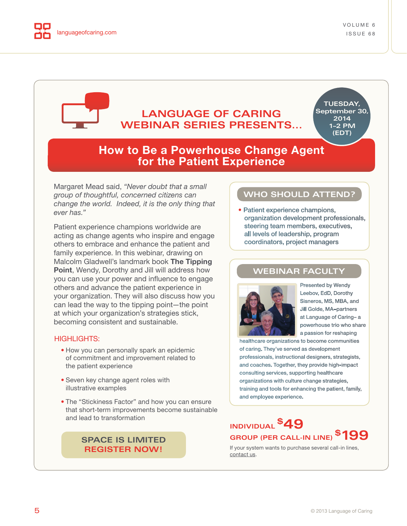<span id="page-4-0"></span>

## **LANGUAGE OF CARING WEBINAR SERIES PRESENTS...**

**TUESDAY, September 30, 2014 1–2 PM (EDT)**

## **How to Be a Powerhouse Change Agent for the Patient Experience**

Margaret Mead said, *"Never doubt that a small group of thoughtful, concerned citizens can change the world. Indeed, it is the only thing that ever has."*

Patient experience champions worldwide are acting as change agents who inspire and engage others to embrace and enhance the patient and family experience. In this webinar, drawing on Malcolm Gladwell's landmark book **The Tipping Point**, Wendy, Dorothy and Jill will address how you can use your power and influence to engage others and advance the patient experience in your organization. They will also discuss how you can lead the way to the tipping point—the point at which your organization's strategies stick, becoming consistent and sustainable.

#### HIGHLIGHTS:

- How you can personally spark an epidemic of commitment and improvement related to the patient experience
- Seven key change agent roles with illustrative examples
- The "Stickiness Factor" and how you can ensure that short-term improvements become sustainable and lead to transformation

#### **[SPACE IS LIMITED](http://store.kagi.com/cgi-bin/store.cgi?storeID=6FGMP_LIVE&page=Webinars_6FGMP) REGISTER NOW!**

## **WHO SHOULD ATTEND?**

• Patient experience champions, organization development professionals, steering team members, executives, all levels of leadership, program coordinators, project managers

#### **WEBINAR FACULTY**



Presented by Wendy Leebov, EdD, Dorothy Sisneros, MS, MBA, and Jill Golde, MA–partners at Language of Caring– a powerhouse trio who share a passion for reshaping

healthcare organizations to become communities of caring. They've served as development professionals, instructional designers, strategists, and coaches. Together, they provide high-impact consulting services, supporting healthcare organizations with culture change strategies, training and tools for enhancing the patient, family, and employee experience.

## **INDIVIDUAL \$49 GROUP (PER CALL-IN LINE) \$199**

If your system wants to purchase several call-in lines, [contact us.](http://languageofcaring.com/contact-us/)